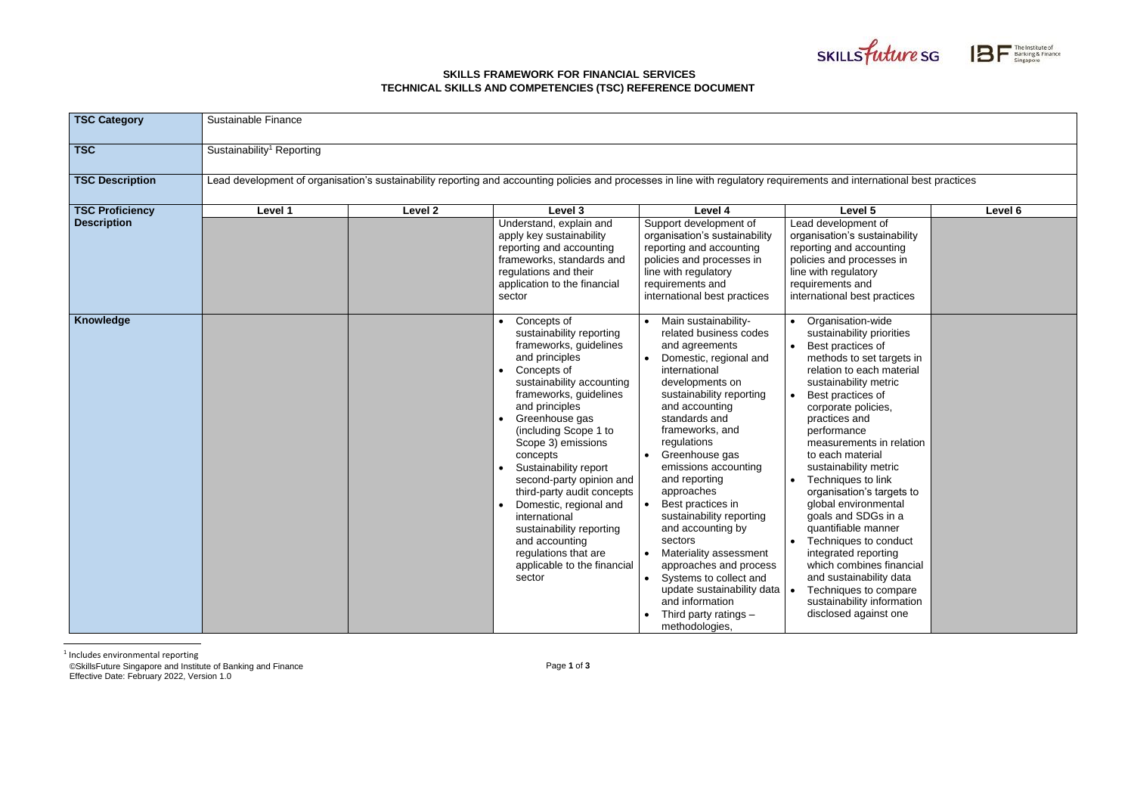## **SKILLS FRAMEWORK FOR FINANCIAL SERVICES TECHNICAL SKILLS AND COMPETENCIES (TSC) REFERENCE DOCUMENT**

©SkillsFuture Singapore and Institute of Banking and Finance Effective Date: February 2022, Version 1.0





| <b>TSC Category</b>    | Sustainable Finance                                                                                                                                                     |         |                                                                                                                                                                                                                                                                                                                                                                                                                                                                                                       |                                                                                                                                                                                                                                                                                                                                                                                                                                                                                                                                                                                                       |                                                                                                                                                                                                                                                                                                                                                                                                                                                                                                                                                                                                                              |         |
|------------------------|-------------------------------------------------------------------------------------------------------------------------------------------------------------------------|---------|-------------------------------------------------------------------------------------------------------------------------------------------------------------------------------------------------------------------------------------------------------------------------------------------------------------------------------------------------------------------------------------------------------------------------------------------------------------------------------------------------------|-------------------------------------------------------------------------------------------------------------------------------------------------------------------------------------------------------------------------------------------------------------------------------------------------------------------------------------------------------------------------------------------------------------------------------------------------------------------------------------------------------------------------------------------------------------------------------------------------------|------------------------------------------------------------------------------------------------------------------------------------------------------------------------------------------------------------------------------------------------------------------------------------------------------------------------------------------------------------------------------------------------------------------------------------------------------------------------------------------------------------------------------------------------------------------------------------------------------------------------------|---------|
| <b>TSC</b>             | Sustainability <sup>1</sup> Reporting                                                                                                                                   |         |                                                                                                                                                                                                                                                                                                                                                                                                                                                                                                       |                                                                                                                                                                                                                                                                                                                                                                                                                                                                                                                                                                                                       |                                                                                                                                                                                                                                                                                                                                                                                                                                                                                                                                                                                                                              |         |
| <b>TSC Description</b> | Lead development of organisation's sustainability reporting and accounting policies and processes in line with regulatory requirements and international best practices |         |                                                                                                                                                                                                                                                                                                                                                                                                                                                                                                       |                                                                                                                                                                                                                                                                                                                                                                                                                                                                                                                                                                                                       |                                                                                                                                                                                                                                                                                                                                                                                                                                                                                                                                                                                                                              |         |
| <b>TSC Proficiency</b> | Level 1                                                                                                                                                                 | Level 2 | Level 3                                                                                                                                                                                                                                                                                                                                                                                                                                                                                               | Level 4                                                                                                                                                                                                                                                                                                                                                                                                                                                                                                                                                                                               | Level 5                                                                                                                                                                                                                                                                                                                                                                                                                                                                                                                                                                                                                      | Level 6 |
| <b>Description</b>     |                                                                                                                                                                         |         | Understand, explain and<br>apply key sustainability<br>reporting and accounting<br>frameworks, standards and<br>regulations and their<br>application to the financial<br>sector                                                                                                                                                                                                                                                                                                                       | Support development of<br>organisation's sustainability<br>reporting and accounting<br>policies and processes in<br>line with regulatory<br>requirements and<br>international best practices                                                                                                                                                                                                                                                                                                                                                                                                          | Lead development of<br>organisation's sustainability<br>reporting and accounting<br>policies and processes in<br>line with regulatory<br>requirements and<br>international best practices                                                                                                                                                                                                                                                                                                                                                                                                                                    |         |
| <b>Knowledge</b>       |                                                                                                                                                                         |         | Concepts of<br>sustainability reporting<br>frameworks, guidelines<br>and principles<br>Concepts of<br>sustainability accounting<br>frameworks, guidelines<br>and principles<br>Greenhouse gas<br>(including Scope 1 to<br>Scope 3) emissions<br>concepts<br>Sustainability report<br>second-party opinion and<br>third-party audit concepts<br>Domestic, regional and<br>international<br>sustainability reporting<br>and accounting<br>regulations that are<br>applicable to the financial<br>sector | Main sustainability-<br>related business codes<br>and agreements<br>• Domestic, regional and<br>international<br>developments on<br>sustainability reporting<br>and accounting<br>standards and<br>frameworks, and<br>regulations<br>• Greenhouse gas<br>emissions accounting<br>and reporting<br>approaches<br>Best practices in<br>sustainability reporting<br>and accounting by<br>sectors<br>• Materiality assessment<br>approaches and process<br>Systems to collect and<br>$\bullet$<br>update sustainability data<br>and information<br>Third party ratings $-$<br>$\bullet$<br>methodologies, | Organisation-wide<br>sustainability priorities<br>Best practices of<br>methods to set targets in<br>relation to each material<br>sustainability metric<br>Best practices of<br>corporate policies,<br>practices and<br>performance<br>measurements in relation<br>to each material<br>sustainability metric<br>Techniques to link<br>organisation's targets to<br>global environmental<br>goals and SDGs in a<br>quantifiable manner<br>Techniques to conduct<br>integrated reporting<br>which combines financial<br>and sustainability data<br>Techniques to compare<br>sustainability information<br>disclosed against one |         |

<sup>1</sup> Includes environmental reporting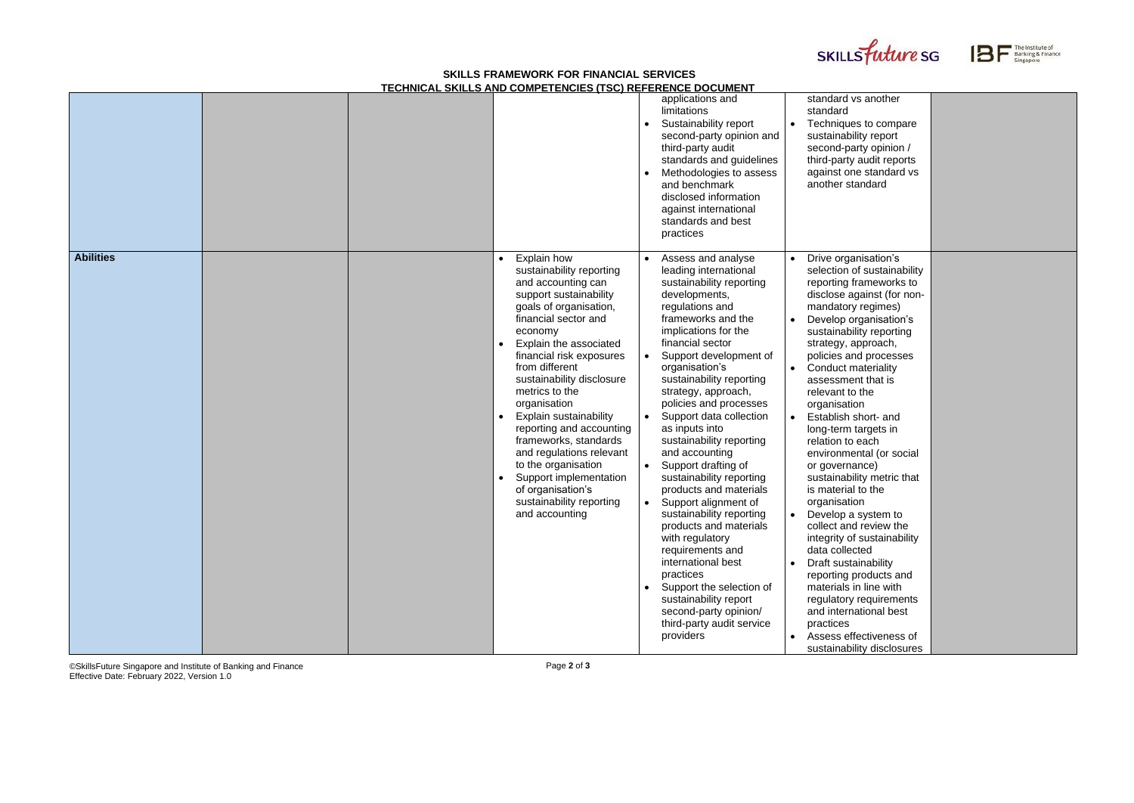## **SKILLS FRAMEWORK FOR FINANCIAL SERVICES TECHNICAL SKILLS AND COMPETENCIES (TSC) REFERENCE DOCUMENT**

©SkillsFuture Singapore and Institute of Banking and Finance Effective Date: February 2022, Version 1.0

Page **2** of **3**





| standard vs another<br>standard<br>Techniques to compare<br>sustainability report<br>second-party opinion /<br>third-party audit reports<br>against one standard vs<br>another standard |  |
|-----------------------------------------------------------------------------------------------------------------------------------------------------------------------------------------|--|
| Drive organisation's                                                                                                                                                                    |  |
| selection of sustainability                                                                                                                                                             |  |
| reporting frameworks to                                                                                                                                                                 |  |
| disclose against (for non-                                                                                                                                                              |  |
| mandatory regimes)                                                                                                                                                                      |  |
| Develop organisation's                                                                                                                                                                  |  |
| sustainability reporting<br>strategy, approach,                                                                                                                                         |  |
| policies and processes                                                                                                                                                                  |  |
| Conduct materiality                                                                                                                                                                     |  |
| assessment that is                                                                                                                                                                      |  |
| relevant to the                                                                                                                                                                         |  |
| organisation                                                                                                                                                                            |  |
| Establish short- and                                                                                                                                                                    |  |
| long-term targets in                                                                                                                                                                    |  |
| relation to each                                                                                                                                                                        |  |
| environmental (or social                                                                                                                                                                |  |
| or governance)                                                                                                                                                                          |  |
| sustainability metric that                                                                                                                                                              |  |
| is material to the                                                                                                                                                                      |  |
| organisation                                                                                                                                                                            |  |
| Develop a system to                                                                                                                                                                     |  |
| collect and review the                                                                                                                                                                  |  |
| integrity of sustainability                                                                                                                                                             |  |
| data collected                                                                                                                                                                          |  |
| Draft sustainability                                                                                                                                                                    |  |
| reporting products and<br>materials in line with                                                                                                                                        |  |
| regulatory requirements                                                                                                                                                                 |  |
| and international best                                                                                                                                                                  |  |
| practices                                                                                                                                                                               |  |
| Assess effectiveness of                                                                                                                                                                 |  |
| sustainability disclosures                                                                                                                                                              |  |

|                  |                                                                                                                                                                                                                                                                                                                                                                                                                                                                                                                            | applications and<br>limitations<br>Sustainability report<br>second-party opinion and<br>third-party audit<br>standards and guidelines<br>Methodologies to assess<br>and benchmark<br>disclosed information<br>against international<br>standards and best<br>practices                                                                                                                                                                                                                                                                                                                                                                                                                                                                                         | standard vs another<br>standard<br>Techniques to compare<br>sustainability report<br>second-party opinion /<br>third-party audit reports<br>against one standard vs<br>another standard                                                                                                                                                                                                                                                                                                                                                                                                                                                                                                                                                                                                                                                                 |
|------------------|----------------------------------------------------------------------------------------------------------------------------------------------------------------------------------------------------------------------------------------------------------------------------------------------------------------------------------------------------------------------------------------------------------------------------------------------------------------------------------------------------------------------------|----------------------------------------------------------------------------------------------------------------------------------------------------------------------------------------------------------------------------------------------------------------------------------------------------------------------------------------------------------------------------------------------------------------------------------------------------------------------------------------------------------------------------------------------------------------------------------------------------------------------------------------------------------------------------------------------------------------------------------------------------------------|---------------------------------------------------------------------------------------------------------------------------------------------------------------------------------------------------------------------------------------------------------------------------------------------------------------------------------------------------------------------------------------------------------------------------------------------------------------------------------------------------------------------------------------------------------------------------------------------------------------------------------------------------------------------------------------------------------------------------------------------------------------------------------------------------------------------------------------------------------|
| <b>Abilities</b> | Explain how<br>sustainability reporting<br>and accounting can<br>support sustainability<br>goals of organisation,<br>financial sector and<br>economy<br>Explain the associated<br>financial risk exposures<br>from different<br>sustainability disclosure<br>metrics to the<br>organisation<br>Explain sustainability<br>reporting and accounting<br>frameworks, standards<br>and regulations relevant<br>to the organisation<br>Support implementation<br>of organisation's<br>sustainability reporting<br>and accounting | Assess and analyse<br>leading international<br>sustainability reporting<br>developments,<br>regulations and<br>frameworks and the<br>implications for the<br>financial sector<br>Support development of<br>organisation's<br>sustainability reporting<br>strategy, approach,<br>policies and processes<br>Support data collection<br>as inputs into<br>sustainability reporting<br>and accounting<br>Support drafting of<br>sustainability reporting<br>products and materials<br>Support alignment of<br>sustainability reporting<br>products and materials<br>with regulatory<br>requirements and<br>international best<br>practices<br>Support the selection of<br>sustainability report<br>second-party opinion/<br>third-party audit service<br>providers | Drive organisation's<br>selection of sustainabilit<br>reporting frameworks to<br>disclose against (for nor<br>mandatory regimes)<br>Develop organisation's<br>sustainability reporting<br>strategy, approach,<br>policies and processes<br><b>Conduct materiality</b><br>assessment that is<br>relevant to the<br>organisation<br>Establish short- and<br>long-term targets in<br>relation to each<br>environmental (or social<br>or governance)<br>sustainability metric that<br>is material to the<br>organisation<br>Develop a system to<br>$\bullet$<br>collect and review the<br>integrity of sustainability<br>data collected<br>Draft sustainability<br>reporting products and<br>materials in line with<br>regulatory requirements<br>and international best<br>practices<br>Assess effectiveness of<br>$\bullet$<br>sustainability disclosure: |